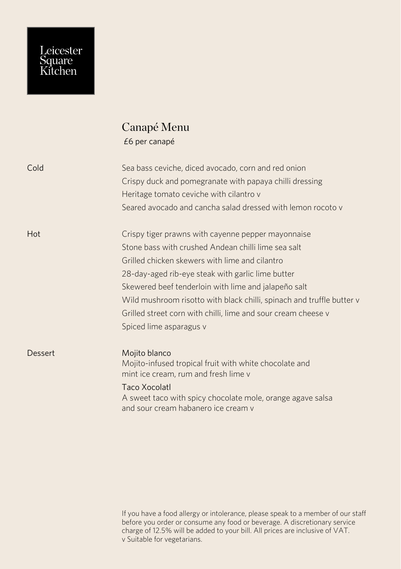## Leicester<br>Square<br>Kitchen

## Canapé Menu £6 per canapé

| Cold    | Sea bass ceviche, diced avocado, corn and red onion<br>Crispy duck and pomegranate with papaya chilli dressing<br>Heritage tomato ceviche with cilantro v<br>Seared avocado and cancha salad dressed with lemon rocoto y                                                                                                                                                                                                                      |
|---------|-----------------------------------------------------------------------------------------------------------------------------------------------------------------------------------------------------------------------------------------------------------------------------------------------------------------------------------------------------------------------------------------------------------------------------------------------|
| Hot     | Crispy tiger prawns with cayenne pepper mayonnaise<br>Stone bass with crushed Andean chilli lime sea salt<br>Grilled chicken skewers with lime and cilantro<br>28-day-aged rib-eye steak with garlic lime butter<br>Skewered beef tenderloin with lime and jalapeño salt<br>Wild mushroom risotto with black chilli, spinach and truffle butter v<br>Grilled street corn with chilli, lime and sour cream cheese v<br>Spiced lime asparagus v |
| Dessert | Mojito blanco<br>Mojito-infused tropical fruit with white chocolate and<br>mint ice cream, rum and fresh lime v<br>Taco Xocolatl<br>A sweet taco with spicy chocolate mole, orange agave salsa<br>and sour cream habanero ice cream y                                                                                                                                                                                                         |

If you have a food allergy or intolerance, please speak to a member of our staff before you order or consume any food or beverage. A discretionary service charge of 12.5% will be added to your bill. All prices are inclusive of VAT. v Suitable for vegetarians.